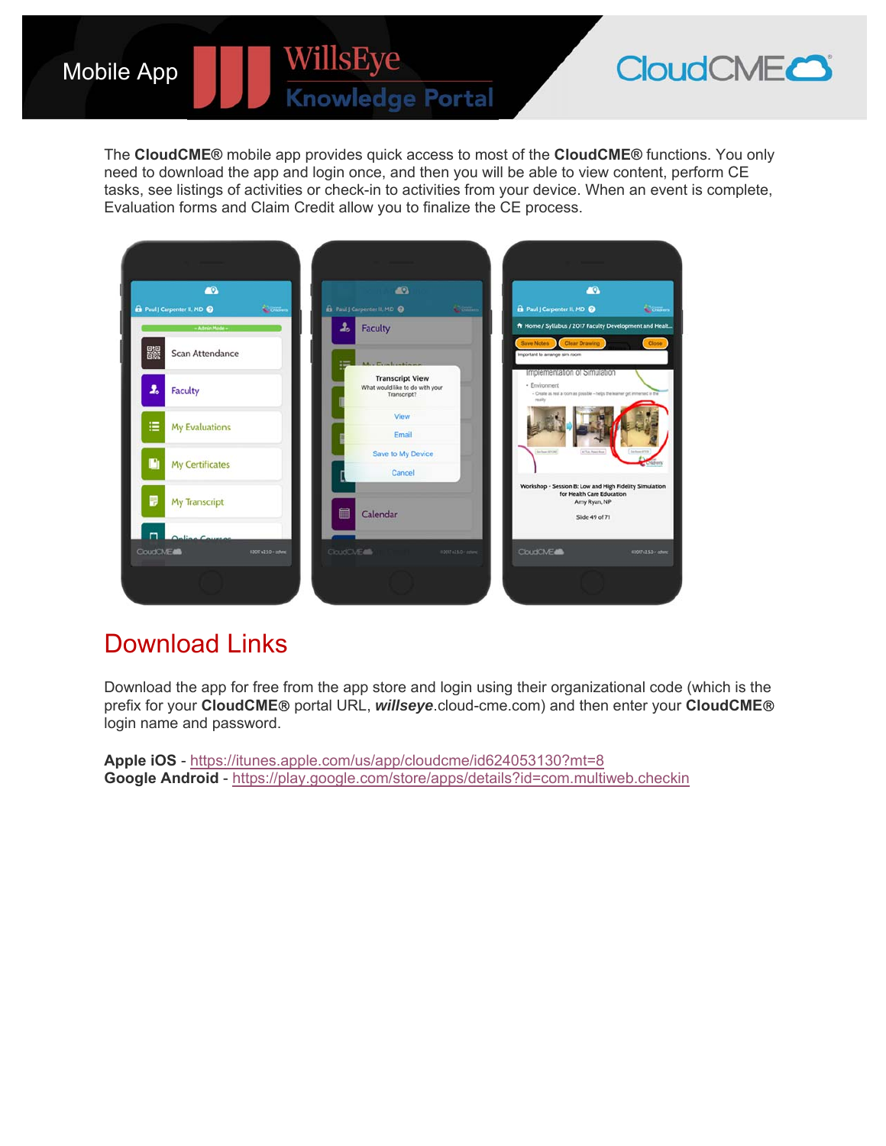The **CloudCME®** mobile app provides quick access to most of the **CloudCME®** functions. You only need to download the app and login once, and then you will be able to view content, perform CE tasks, see listings of activities or check-in to activities from your device. When an event is complete, Evaluation forms and Claim Credit allow you to finalize the CE process.

WillsEye

**Knowledge Portal** 

| $\bullet$                                             | <b>AB</b>                                                                                                           | $\bullet$                                                                                                                             |
|-------------------------------------------------------|---------------------------------------------------------------------------------------------------------------------|---------------------------------------------------------------------------------------------------------------------------------------|
| <b>n</b> Paul J Carpenter II, MD @<br><b>Contract</b> | <b>Et</b> Paul & Carpenter II, MD @<br>Comm.                                                                        | <b>D</b> Paul J Carpenter II, MD<br><b>Comment</b>                                                                                    |
| - Admin Mode -                                        | å.<br><b>Faculty</b>                                                                                                | A Home / Syllabus / 2017 Faculty Development and Healt                                                                                |
| 器<br>Scan Attendance                                  | Mar Conference                                                                                                      | <b>Clear Drawing</b><br>Close<br><b>Save Notes</b><br>Important to arrange sim room                                                   |
| $\mathbf{r}$<br><b>Faculty</b>                        | <b>Transcript View</b><br>What would like to do with your<br>Transcript?                                            | Implementation of Simulation<br>· Environment<br>- Orate as real a room as possible - helps the learner get immensed in the<br>really |
| ≡<br><b>My Evaluations</b>                            | View<br>Email                                                                                                       |                                                                                                                                       |
| D<br><b>My Certificates</b>                           | Save to My Device<br>Cancel                                                                                         | In her 8700<br><b>ATLA Payer Room</b>                                                                                                 |
| П<br>My Transcript<br>п                               | 扁<br>Calendar                                                                                                       | Workshop - Session B: Low and High Fidelity Simulation<br>for Health Care Education<br>Array Ryan, NP<br>Slide 49 of 71               |
| $11 -$<br><b>CloudCMEdia</b><br>02007v25.0-latenc     | <b>CloudCiviEatti</b><br>02017-13.0 <astwell< td=""><td><b>CloudCME48</b><br/>#2017 v2.5.0 / crhine</td></astwell<> | <b>CloudCME48</b><br>#2017 v2.5.0 / crhine                                                                                            |
|                                                       |                                                                                                                     |                                                                                                                                       |

## Download Links

Mobile App

Download the app for free from the app store and login using their organizational code (which is the prefix for your **CloudCME** portal URL, *willseye*.cloud-cme.com) and then enter your **CloudCME** login name and password.

**Apple iOS** - https://itunes.apple.com/us/app/cloudcme/id624053130?mt=8 **Google Android** - https://play.google.com/store/apps/details?id=com.multiweb.checkin